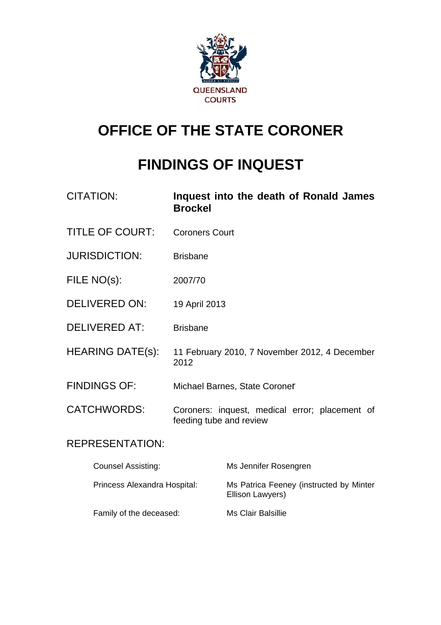

# **OFFICE OF THE STATE CORONER**

# **FINDINGS OF INQUEST**

| <b>CITATION:</b>       | Inquest into the death of Ronald James<br><b>Brockel</b>                  |
|------------------------|---------------------------------------------------------------------------|
| <b>TITLE OF COURT:</b> | <b>Coroners Court</b>                                                     |
| <b>JURISDICTION:</b>   | <b>Brisbane</b>                                                           |
| FILE NO(s):            | 2007/70                                                                   |
| <b>DELIVERED ON:</b>   | 19 April 2013                                                             |
| <b>DELIVERED AT:</b>   | <b>Brisbane</b>                                                           |
| HEARING DATE(s):       | 11 February 2010, 7 November 2012, 4 December<br>2012                     |
| <b>FINDINGS OF:</b>    | Michael Barnes, State Coroner                                             |
| <b>CATCHWORDS:</b>     | Coroners: inquest, medical error; placement of<br>feeding tube and review |
| <b>REPRESENTATION:</b> |                                                                           |

| <b>Counsel Assisting:</b>    | Ms Jennifer Rosengren                                       |
|------------------------------|-------------------------------------------------------------|
| Princess Alexandra Hospital: | Ms Patrica Feeney (instructed by Minter<br>Ellison Lawyers) |
| Family of the deceased:      | Ms Clair Balsillie                                          |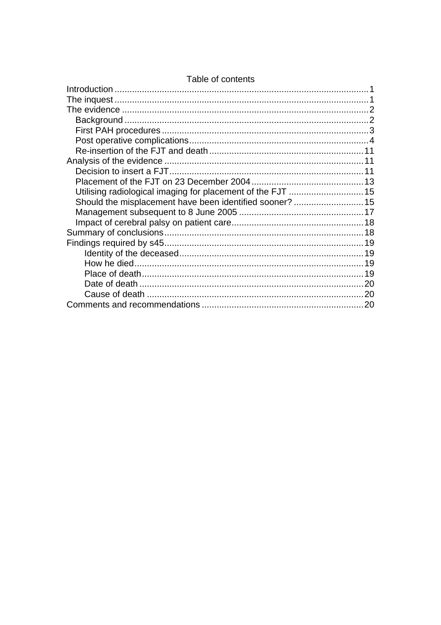| Utilising radiological imaging for placement of the FJT  15 |  |
|-------------------------------------------------------------|--|
|                                                             |  |
|                                                             |  |
|                                                             |  |
|                                                             |  |
|                                                             |  |
|                                                             |  |
|                                                             |  |
|                                                             |  |
|                                                             |  |
|                                                             |  |
|                                                             |  |

#### Table of contents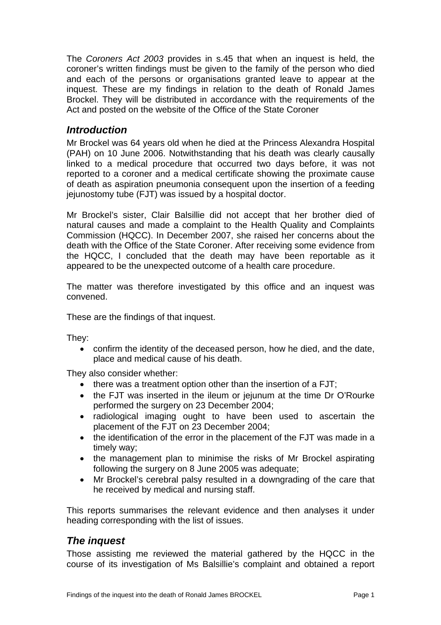<span id="page-2-0"></span>The *Coroners Act 2003* provides in s.45 that when an inquest is held, the coroner's written findings must be given to the family of the person who died and each of the persons or organisations granted leave to appear at the inquest. These are my findings in relation to the death of Ronald James Brockel. They will be distributed in accordance with the requirements of the Act and posted on the website of the Office of the State Coroner

## *Introduction*

Mr Brockel was 64 years old when he died at the Princess Alexandra Hospital (PAH) on 10 June 2006. Notwithstanding that his death was clearly causally linked to a medical procedure that occurred two days before, it was not reported to a coroner and a medical certificate showing the proximate cause of death as aspiration pneumonia consequent upon the insertion of a feeding jejunostomy tube (FJT) was issued by a hospital doctor.

Mr Brockel's sister, Clair Balsillie did not accept that her brother died of natural causes and made a complaint to the Health Quality and Complaints Commission (HQCC). In December 2007, she raised her concerns about the death with the Office of the State Coroner. After receiving some evidence from the HQCC, I concluded that the death may have been reportable as it appeared to be the unexpected outcome of a health care procedure.

The matter was therefore investigated by this office and an inquest was convened.

These are the findings of that inquest.

They:

• confirm the identity of the deceased person, how he died, and the date, place and medical cause of his death.

They also consider whether:

- there was a treatment option other than the insertion of a FJT;
- the FJT was inserted in the ileum or jejunum at the time Dr O'Rourke performed the surgery on 23 December 2004;
- radiological imaging ought to have been used to ascertain the placement of the FJT on 23 December 2004;
- the identification of the error in the placement of the FJT was made in a timely way;
- the management plan to minimise the risks of Mr Brockel aspirating following the surgery on 8 June 2005 was adequate;
- Mr Brockel's cerebral palsy resulted in a downgrading of the care that he received by medical and nursing staff.

This reports summarises the relevant evidence and then analyses it under heading corresponding with the list of issues.

## *The inquest*

Those assisting me reviewed the material gathered by the HQCC in the course of its investigation of Ms Balsillie's complaint and obtained a report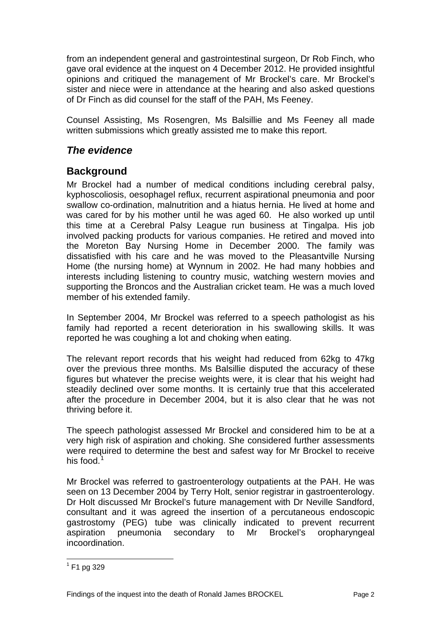<span id="page-3-0"></span>from an independent general and gastrointestinal surgeon, Dr Rob Finch, who gave oral evidence at the inquest on 4 December 2012. He provided insightful opinions and critiqued the management of Mr Brockel's care. Mr Brockel's sister and niece were in attendance at the hearing and also asked questions of Dr Finch as did counsel for the staff of the PAH, Ms Feeney.

Counsel Assisting, Ms Rosengren, Ms Balsillie and Ms Feeney all made written submissions which greatly assisted me to make this report.

# *The evidence*

# **Background**

Mr Brockel had a number of medical conditions including cerebral palsy, kyphoscoliosis, oesophagel reflux, recurrent aspirational pneumonia and poor swallow co-ordination, malnutrition and a hiatus hernia. He lived at home and was cared for by his mother until he was aged 60. He also worked up until this time at a Cerebral Palsy League run business at Tingalpa. His job involved packing products for various companies. He retired and moved into the Moreton Bay Nursing Home in December 2000. The family was dissatisfied with his care and he was moved to the Pleasantville Nursing Home (the nursing home) at Wynnum in 2002. He had many hobbies and interests including listening to country music, watching western movies and supporting the Broncos and the Australian cricket team. He was a much loved member of his extended family.

In September 2004, Mr Brockel was referred to a speech pathologist as his family had reported a recent deterioration in his swallowing skills. It was reported he was coughing a lot and choking when eating.

The relevant report records that his weight had reduced from 62kg to 47kg over the previous three months. Ms Balsillie disputed the accuracy of these figures but whatever the precise weights were, it is clear that his weight had steadily declined over some months. It is certainly true that this accelerated after the procedure in December 2004, but it is also clear that he was not thriving before it.

The speech pathologist assessed Mr Brockel and considered him to be at a very high risk of aspiration and choking. She considered further assessments were required to determine the best and safest way for Mr Brockel to receive his food.<sup>[1](#page-3-1)</sup>

Mr Brockel was referred to gastroenterology outpatients at the PAH. He was seen on 13 December 2004 by Terry Holt, senior registrar in gastroenterology. Dr Holt discussed Mr Brockel's future management with Dr Neville Sandford, consultant and it was agreed the insertion of a percutaneous endoscopic gastrostomy (PEG) tube was clinically indicated to prevent recurrent aspiration pneumonia secondary to Mr Brockel's oropharyngeal incoordination.

<span id="page-3-1"></span> $\frac{1}{1}$  F1 pg 329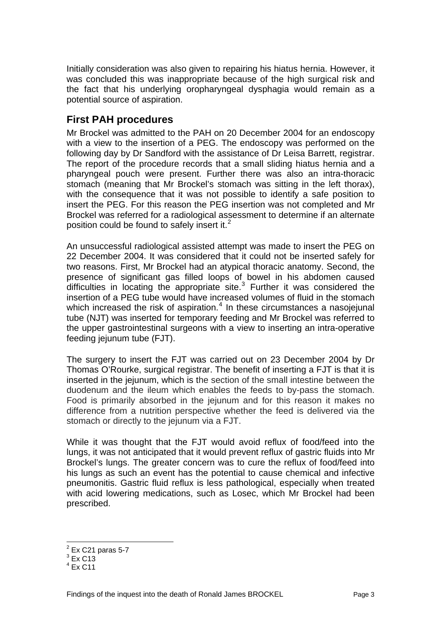<span id="page-4-0"></span>Initially consideration was also given to repairing his hiatus hernia. However, it was concluded this was inappropriate because of the high surgical risk and the fact that his underlying oropharyngeal dysphagia would remain as a potential source of aspiration.

## **First PAH procedures**

Mr Brockel was admitted to the PAH on 20 December 2004 for an endoscopy with a view to the insertion of a PEG. The endoscopy was performed on the following day by Dr Sandford with the assistance of Dr Leisa Barrett, registrar. The report of the procedure records that a small sliding hiatus hernia and a pharyngeal pouch were present. Further there was also an intra-thoracic stomach (meaning that Mr Brockel's stomach was sitting in the left thorax), with the consequence that it was not possible to identify a safe position to insert the PEG. For this reason the PEG insertion was not completed and Mr Brockel was referred for a radiological assessment to determine if an alternate position could be found to safely insert it. $2$ 

An unsuccessful radiological assisted attempt was made to insert the PEG on 22 December 2004. It was considered that it could not be inserted safely for two reasons. First, Mr Brockel had an atypical thoracic anatomy. Second, the presence of significant gas filled loops of bowel in his abdomen caused difficulties in locating the appropriate site. $3$  Further it was considered the insertion of a PEG tube would have increased volumes of fluid in the stomach which increased the risk of aspiration. $4$  In these circumstances a nasojejunal tube (NJT) was inserted for temporary feeding and Mr Brockel was referred to the upper gastrointestinal surgeons with a view to inserting an intra-operative feeding jejunum tube (FJT).

The surgery to insert the FJT was carried out on 23 December 2004 by Dr Thomas O'Rourke, surgical registrar. The benefit of inserting a FJT is that it is inserted in the jejunum, which is the section of the small intestine between the duodenum and the ileum which enables the feeds to by-pass the stomach. Food is primarily absorbed in the jejunum and for this reason it makes no difference from a nutrition perspective whether the feed is delivered via the stomach or directly to the jejunum via a FJT.

While it was thought that the FJT would avoid reflux of food/feed into the lungs, it was not anticipated that it would prevent reflux of gastric fluids into Mr Brockel's lungs. The greater concern was to cure the reflux of food/feed into his lungs as such an event has the potential to cause chemical and infective pneumonitis. Gastric fluid reflux is less pathological, especially when treated with acid lowering medications, such as Losec, which Mr Brockel had been prescribed.

<span id="page-4-1"></span> $2$  Ex C21 paras 5-7

<span id="page-4-2"></span> $3$  Ex C13

<span id="page-4-3"></span> $4$  Ex C11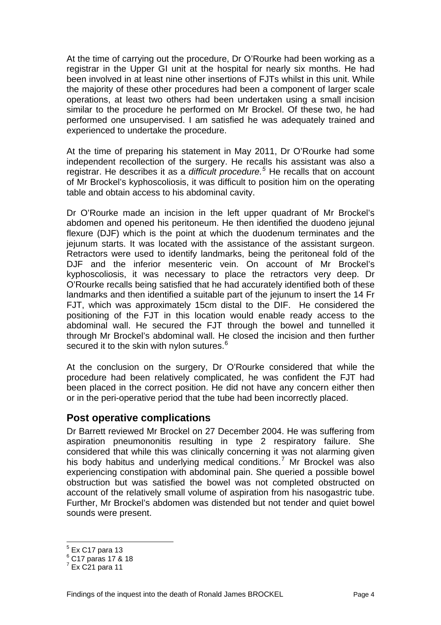<span id="page-5-0"></span>At the time of carrying out the procedure, Dr O'Rourke had been working as a registrar in the Upper GI unit at the hospital for nearly six months. He had been involved in at least nine other insertions of FJTs whilst in this unit. While the majority of these other procedures had been a component of larger scale operations, at least two others had been undertaken using a small incision similar to the procedure he performed on Mr Brockel. Of these two, he had performed one unsupervised. I am satisfied he was adequately trained and experienced to undertake the procedure.

At the time of preparing his statement in May 2011, Dr O'Rourke had some independent recollection of the surgery. He recalls his assistant was also a registrar. He describes it as a *difficult procedure.[5](#page-5-1)* He recalls that on account of Mr Brockel's kyphoscoliosis, it was difficult to position him on the operating table and obtain access to his abdominal cavity.

Dr O'Rourke made an incision in the left upper quadrant of Mr Brockel's abdomen and opened his peritoneum. He then identified the duodeno jejunal flexure (DJF) which is the point at which the duodenum terminates and the jejunum starts. It was located with the assistance of the assistant surgeon. Retractors were used to identify landmarks, being the peritoneal fold of the DJF and the inferior mesenteric vein. On account of Mr Brockel's kyphoscoliosis, it was necessary to place the retractors very deep. Dr O'Rourke recalls being satisfied that he had accurately identified both of these landmarks and then identified a suitable part of the jejunum to insert the 14 Fr FJT, which was approximately 15cm distal to the DIF. He considered the positioning of the FJT in this location would enable ready access to the abdominal wall. He secured the FJT through the bowel and tunnelled it through Mr Brockel's abdominal wall. He closed the incision and then further secured it to the skin with nylon sutures.<sup>[6](#page-5-2)</sup>

At the conclusion on the surgery, Dr O'Rourke considered that while the procedure had been relatively complicated, he was confident the FJT had been placed in the correct position. He did not have any concern either then or in the peri-operative period that the tube had been incorrectly placed.

#### **Post operative complications**

Dr Barrett reviewed Mr Brockel on 27 December 2004. He was suffering from aspiration pneumononitis resulting in type 2 respiratory failure. She considered that while this was clinically concerning it was not alarming given his body habitus and underlying medical conditions.<sup>[7](#page-5-3)</sup> Mr Brockel was also experiencing constipation with abdominal pain. She queried a possible bowel obstruction but was satisfied the bowel was not completed obstructed on account of the relatively small volume of aspiration from his nasogastric tube. Further, Mr Brockel's abdomen was distended but not tender and quiet bowel sounds were present.

<span id="page-5-1"></span> $<sup>5</sup>$  Ex C17 para 13</sup>

<span id="page-5-2"></span><sup>6</sup> C17 paras 17 & 18

<span id="page-5-3"></span> $7$  Ex C21 para 11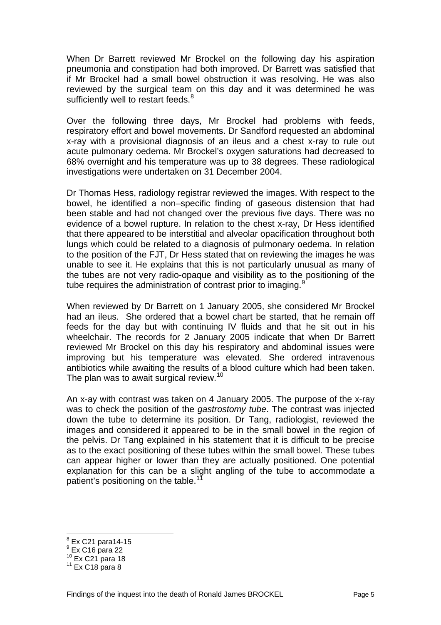When Dr Barrett reviewed Mr Brockel on the following day his aspiration pneumonia and constipation had both improved. Dr Barrett was satisfied that if Mr Brockel had a small bowel obstruction it was resolving. He was also reviewed by the surgical team on this day and it was determined he was sufficiently well to restart feeds.<sup>[8](#page-6-0)</sup>

Over the following three days, Mr Brockel had problems with feeds, respiratory effort and bowel movements. Dr Sandford requested an abdominal x-ray with a provisional diagnosis of an ileus and a chest x-ray to rule out acute pulmonary oedema. Mr Brockel's oxygen saturations had decreased to 68% overnight and his temperature was up to 38 degrees. These radiological investigations were undertaken on 31 December 2004.

Dr Thomas Hess, radiology registrar reviewed the images. With respect to the bowel, he identified a non–specific finding of gaseous distension that had been stable and had not changed over the previous five days. There was no evidence of a bowel rupture. In relation to the chest x-ray, Dr Hess identified that there appeared to be interstitial and alveolar opacification throughout both lungs which could be related to a diagnosis of pulmonary oedema. In relation to the position of the FJT, Dr Hess stated that on reviewing the images he was unable to see it. He explains that this is not particularly unusual as many of the tubes are not very radio-opaque and visibility as to the positioning of the tube requires the administration of contrast prior to imaging. $\frac{9}{5}$  $\frac{9}{5}$  $\frac{9}{5}$ 

When reviewed by Dr Barrett on 1 January 2005, she considered Mr Brockel had an ileus. She ordered that a bowel chart be started, that he remain off feeds for the day but with continuing IV fluids and that he sit out in his wheelchair. The records for 2 January 2005 indicate that when Dr Barrett reviewed Mr Brockel on this day his respiratory and abdominal issues were improving but his temperature was elevated. She ordered intravenous antibiotics while awaiting the results of a blood culture which had been taken. The plan was to await surgical review.<sup>[10](#page-6-2)</sup>

An x-ay with contrast was taken on 4 January 2005. The purpose of the x-ray was to check the position of the *gastrostomy tube*. The contrast was injected down the tube to determine its position. Dr Tang, radiologist, reviewed the images and considered it appeared to be in the small bowel in the region of the pelvis. Dr Tang explained in his statement that it is difficult to be precise as to the exact positioning of these tubes within the small bowel. These tubes can appear higher or lower than they are actually positioned. One potential explanation for this can be a slight angling of the tube to accommodate a patient's positioning on the table.<sup>17</sup>

<sup>&</sup>lt;u>esta</u><br>Ex C21 para14-15

<span id="page-6-1"></span><span id="page-6-0"></span> $9$  Ex C16 para 22

<span id="page-6-2"></span> $10^{10}$  Ex C21 para 18<br> $11^{11}$  Ex C18 para 8

<span id="page-6-3"></span>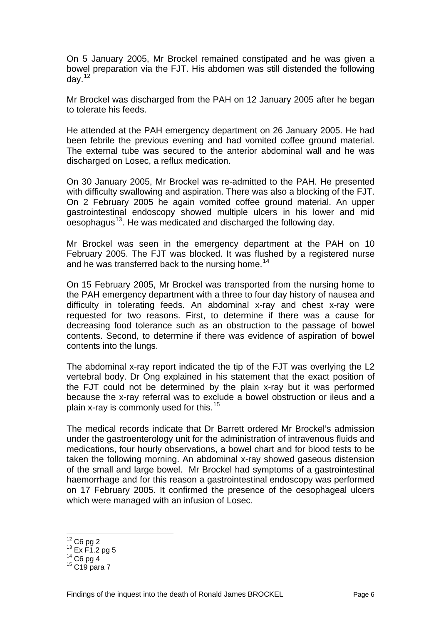On 5 January 2005, Mr Brockel remained constipated and he was given a bowel preparation via the FJT. His abdomen was still distended the following day. $12$ 

Mr Brockel was discharged from the PAH on 12 January 2005 after he began to tolerate his feeds.

He attended at the PAH emergency department on 26 January 2005. He had been febrile the previous evening and had vomited coffee ground material. The external tube was secured to the anterior abdominal wall and he was discharged on Losec, a reflux medication.

On 30 January 2005, Mr Brockel was re-admitted to the PAH. He presented with difficulty swallowing and aspiration. There was also a blocking of the FJT. On 2 February 2005 he again vomited coffee ground material. An upper gastrointestinal endoscopy showed multiple ulcers in his lower and mid  $\overline{\text{o}}$ esophagus<sup>[13](#page-7-1)</sup>. He was medicated and discharged the following day.

Mr Brockel was seen in the emergency department at the PAH on 10 February 2005. The FJT was blocked. It was flushed by a registered nurse and he was transferred back to the nursing home.<sup>[14](#page-7-2)</sup>

On 15 February 2005, Mr Brockel was transported from the nursing home to the PAH emergency department with a three to four day history of nausea and difficulty in tolerating feeds. An abdominal x-ray and chest x-ray were requested for two reasons. First, to determine if there was a cause for decreasing food tolerance such as an obstruction to the passage of bowel contents. Second, to determine if there was evidence of aspiration of bowel contents into the lungs.

The abdominal x-ray report indicated the tip of the FJT was overlying the L2 vertebral body. Dr Ong explained in his statement that the exact position of the FJT could not be determined by the plain x-ray but it was performed because the x-ray referral was to exclude a bowel obstruction or ileus and a plain x-ray is commonly used for this.[15](#page-7-3)

The medical records indicate that Dr Barrett ordered Mr Brockel's admission under the gastroenterology unit for the administration of intravenous fluids and medications, four hourly observations, a bowel chart and for blood tests to be taken the following morning. An abdominal x-ray showed gaseous distension of the small and large bowel. Mr Brockel had symptoms of a gastrointestinal haemorrhage and for this reason a gastrointestinal endoscopy was performed on 17 February 2005. It confirmed the presence of the oesophageal ulcers which were managed with an infusion of Losec.

<span id="page-7-0"></span> $12$  C6 pg 2

<span id="page-7-1"></span> $^{13}$  Ex F1.2 pg 5<br>  $^{14}$  C6 pg 4<br>  $^{15}$  C19 para 7

<span id="page-7-2"></span>

<span id="page-7-3"></span>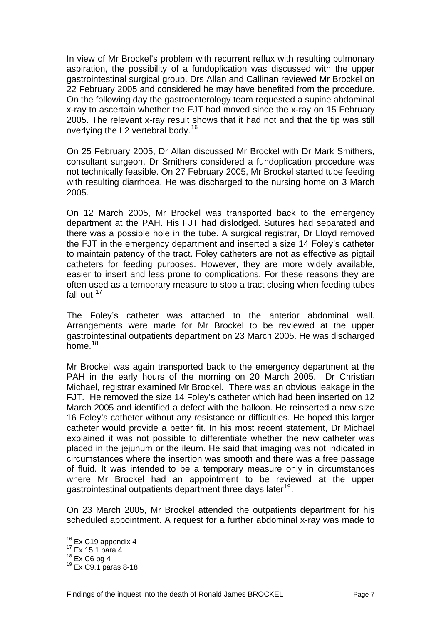In view of Mr Brockel's problem with recurrent reflux with resulting pulmonary aspiration, the possibility of a fundoplication was discussed with the upper gastrointestinal surgical group. Drs Allan and Callinan reviewed Mr Brockel on 22 February 2005 and considered he may have benefited from the procedure. On the following day the gastroenterology team requested a supine abdominal x-ray to ascertain whether the FJT had moved since the x-ray on 15 February 2005. The relevant x-ray result shows that it had not and that the tip was still overlying the L2 vertebral body.<sup>[16](#page-8-0)</sup>

On 25 February 2005, Dr Allan discussed Mr Brockel with Dr Mark Smithers, consultant surgeon. Dr Smithers considered a fundoplication procedure was not technically feasible. On 27 February 2005, Mr Brockel started tube feeding with resulting diarrhoea. He was discharged to the nursing home on 3 March 2005.

On 12 March 2005, Mr Brockel was transported back to the emergency department at the PAH. His FJT had dislodged. Sutures had separated and there was a possible hole in the tube. A surgical registrar, Dr Lloyd removed the FJT in the emergency department and inserted a size 14 Foley's catheter to maintain patency of the tract. Foley catheters are not as effective as pigtail catheters for feeding purposes. However, they are more widely available, easier to insert and less prone to complications. For these reasons they are often used as a temporary measure to stop a tract closing when feeding tubes fall out. $17$ 

The Foley's catheter was attached to the anterior abdominal wall. Arrangements were made for Mr Brockel to be reviewed at the upper gastrointestinal outpatients department on 23 March 2005. He was discharged home. $18$ 

Mr Brockel was again transported back to the emergency department at the PAH in the early hours of the morning on 20 March 2005. Dr Christian Michael, registrar examined Mr Brockel. There was an obvious leakage in the FJT. He removed the size 14 Foley's catheter which had been inserted on 12 March 2005 and identified a defect with the balloon. He reinserted a new size 16 Foley's catheter without any resistance or difficulties. He hoped this larger catheter would provide a better fit. In his most recent statement, Dr Michael explained it was not possible to differentiate whether the new catheter was placed in the jejunum or the ileum. He said that imaging was not indicated in circumstances where the insertion was smooth and there was a free passage of fluid. It was intended to be a temporary measure only in circumstances where Mr Brockel had an appointment to be reviewed at the upper gastrointestinal outpatients department three days later<sup>[19](#page-8-3)</sup>.

On 23 March 2005, Mr Brockel attended the outpatients department for his scheduled appointment. A request for a further abdominal x-ray was made to

<span id="page-8-0"></span><sup>&</sup>lt;sup>16</sup> Ex C19 appendix 4

<span id="page-8-3"></span><span id="page-8-2"></span>

<span id="page-8-1"></span> $17 \text{ Ex } 15.1 \text{ para } 4$ <br>  $18 \text{ Ex } C6 \text{ pg } 4$ <br>  $19 \text{ Ex } C9.1 \text{ paras } 8-18$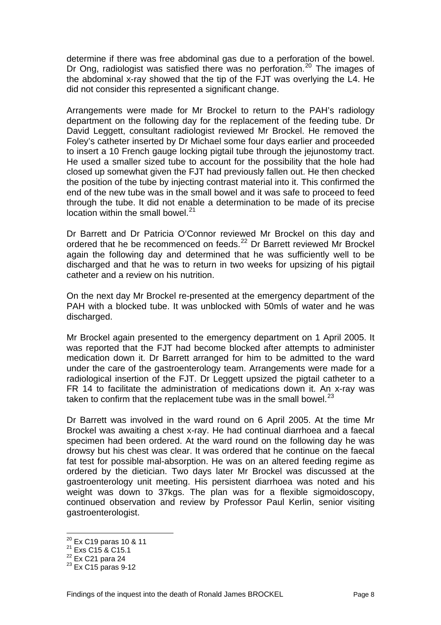determine if there was free abdominal gas due to a perforation of the bowel. Dr Ong, radiologist was satisfied there was no perforation.<sup>[20](#page-9-0)</sup> The images of the abdominal x-ray showed that the tip of the FJT was overlying the L4. He did not consider this represented a significant change.

Arrangements were made for Mr Brockel to return to the PAH's radiology department on the following day for the replacement of the feeding tube. Dr David Leggett, consultant radiologist reviewed Mr Brockel. He removed the Foley's catheter inserted by Dr Michael some four days earlier and proceeded to insert a 10 French gauge locking pigtail tube through the jejunostomy tract. He used a smaller sized tube to account for the possibility that the hole had closed up somewhat given the FJT had previously fallen out. He then checked the position of the tube by injecting contrast material into it. This confirmed the end of the new tube was in the small bowel and it was safe to proceed to feed through the tube. It did not enable a determination to be made of its precise location within the small bowel.<sup>[21](#page-9-1)</sup>

Dr Barrett and Dr Patricia O'Connor reviewed Mr Brockel on this day and ordered that he be recommenced on feeds.<sup>[22](#page-9-2)</sup> Dr Barrett reviewed Mr Brockel again the following day and determined that he was sufficiently well to be discharged and that he was to return in two weeks for upsizing of his pigtail catheter and a review on his nutrition.

On the next day Mr Brockel re-presented at the emergency department of the PAH with a blocked tube. It was unblocked with 50mls of water and he was discharged.

Mr Brockel again presented to the emergency department on 1 April 2005. It was reported that the FJT had become blocked after attempts to administer medication down it. Dr Barrett arranged for him to be admitted to the ward under the care of the gastroenterology team. Arrangements were made for a radiological insertion of the FJT. Dr Leggett upsized the pigtail catheter to a FR 14 to facilitate the administration of medications down it. An x-ray was taken to confirm that the replacement tube was in the small bowel. $^{23}$  $^{23}$  $^{23}$ 

Dr Barrett was involved in the ward round on 6 April 2005. At the time Mr Brockel was awaiting a chest x-ray. He had continual diarrhoea and a faecal specimen had been ordered. At the ward round on the following day he was drowsy but his chest was clear. It was ordered that he continue on the faecal fat test for possible mal-absorption. He was on an altered feeding regime as ordered by the dietician. Two days later Mr Brockel was discussed at the gastroenterology unit meeting. His persistent diarrhoea was noted and his weight was down to 37kgs. The plan was for a flexible sigmoidoscopy, continued observation and review by Professor Paul Kerlin, senior visiting gastroenterologist.

<sup>&</sup>lt;sup>20</sup> Ex C19 paras 10 & 11<br><sup>21</sup> Exs C15 & C15.1

<span id="page-9-1"></span><span id="page-9-0"></span> $^{21}$  Exs C15 & C15.1<br>  $^{22}$  Ex C21 para 24<br>  $^{23}$  Ex C15 paras 9-12

<span id="page-9-2"></span>

<span id="page-9-3"></span>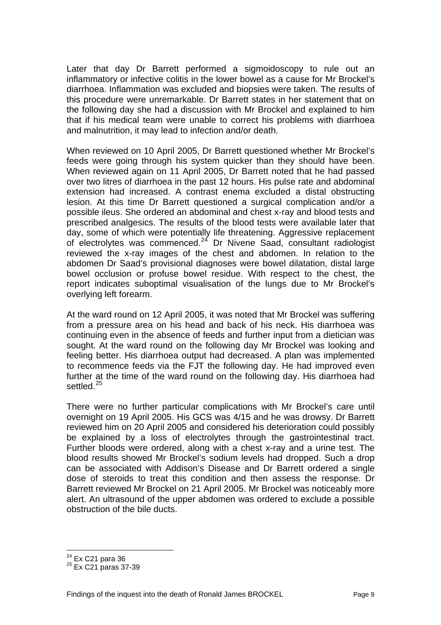Later that day Dr Barrett performed a sigmoidoscopy to rule out an inflammatory or infective colitis in the lower bowel as a cause for Mr Brockel's diarrhoea. Inflammation was excluded and biopsies were taken. The results of this procedure were unremarkable. Dr Barrett states in her statement that on the following day she had a discussion with Mr Brockel and explained to him that if his medical team were unable to correct his problems with diarrhoea and malnutrition, it may lead to infection and/or death.

When reviewed on 10 April 2005, Dr Barrett questioned whether Mr Brockel's feeds were going through his system quicker than they should have been. When reviewed again on 11 April 2005, Dr Barrett noted that he had passed over two litres of diarrhoea in the past 12 hours. His pulse rate and abdominal extension had increased. A contrast enema excluded a distal obstructing lesion. At this time Dr Barrett questioned a surgical complication and/or a possible ileus. She ordered an abdominal and chest x-ray and blood tests and prescribed analgesics. The results of the blood tests were available later that day, some of which were potentially life threatening. Aggressive replacement of electrolytes was commenced.[24](#page-10-0) Dr Nivene Saad, consultant radiologist reviewed the x-ray images of the chest and abdomen. In relation to the abdomen Dr Saad's provisional diagnoses were bowel dilatation, distal large bowel occlusion or profuse bowel residue. With respect to the chest, the report indicates suboptimal visualisation of the lungs due to Mr Brockel's overlying left forearm.

At the ward round on 12 April 2005, it was noted that Mr Brockel was suffering from a pressure area on his head and back of his neck. His diarrhoea was continuing even in the absence of feeds and further input from a dietician was sought. At the ward round on the following day Mr Brockel was looking and feeling better. His diarrhoea output had decreased. A plan was implemented to recommence feeds via the FJT the following day. He had improved even further at the time of the ward round on the following day. His diarrhoea had settled.<sup>[25](#page-10-1)</sup>

There were no further particular complications with Mr Brockel's care until overnight on 19 April 2005. His GCS was 4/15 and he was drowsy. Dr Barrett reviewed him on 20 April 2005 and considered his deterioration could possibly be explained by a loss of electrolytes through the gastrointestinal tract. Further bloods were ordered, along with a chest x-ray and a urine test. The blood results showed Mr Brockel's sodium levels had dropped. Such a drop can be associated with Addison's Disease and Dr Barrett ordered a single dose of steroids to treat this condition and then assess the response. Dr Barrett reviewed Mr Brockel on 21 April 2005. Mr Brockel was noticeably more alert. An ultrasound of the upper abdomen was ordered to exclude a possible obstruction of the bile ducts.

<span id="page-10-1"></span><span id="page-10-0"></span> $^{24}$  Ex C21 para 36<br> $^{25}$  Ex C21 paras 37-39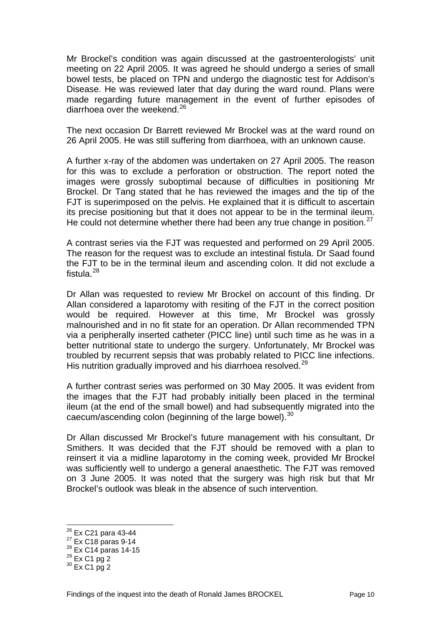Mr Brockel's condition was again discussed at the gastroenterologists' unit meeting on 22 April 2005. It was agreed he should undergo a series of small bowel tests, be placed on TPN and undergo the diagnostic test for Addison's Disease. He was reviewed later that day during the ward round. Plans were made regarding future management in the event of further episodes of diarrhoea over the weekend.<sup>[26](#page-11-0)</sup>

The next occasion Dr Barrett reviewed Mr Brockel was at the ward round on 26 April 2005. He was still suffering from diarrhoea, with an unknown cause.

A further x-ray of the abdomen was undertaken on 27 April 2005. The reason for this was to exclude a perforation or obstruction. The report noted the images were grossly suboptimal because of difficulties in positioning Mr Brockel. Dr Tang stated that he has reviewed the images and the tip of the FJT is superimposed on the pelvis. He explained that it is difficult to ascertain its precise positioning but that it does not appear to be in the terminal ileum. He could not determine whether there had been any true change in position.<sup>[27](#page-11-1)</sup>

A contrast series via the FJT was requested and performed on 29 April 2005. The reason for the request was to exclude an intestinal fistula. Dr Saad found the FJT to be in the terminal ileum and ascending colon. It did not exclude a fistula  $^{28}$  $^{28}$  $^{28}$ 

Dr Allan was requested to review Mr Brockel on account of this finding. Dr Allan considered a laparotomy with resiting of the FJT in the correct position would be required. However at this time, Mr Brockel was grossly malnourished and in no fit state for an operation. Dr Allan recommended TPN via a peripherally inserted catheter (PICC line) until such time as he was in a better nutritional state to undergo the surgery. Unfortunately, Mr Brockel was troubled by recurrent sepsis that was probably related to PICC line infections. His nutrition gradually improved and his diarrhoea resolved.<sup>[29](#page-11-3)</sup>

A further contrast series was performed on 30 May 2005. It was evident from the images that the FJT had probably initially been placed in the terminal ileum (at the end of the small bowel) and had subsequently migrated into the caecum/ascending colon (beginning of the large bowel).<sup>[30](#page-11-4)</sup>

Dr Allan discussed Mr Brockel's future management with his consultant, Dr Smithers. It was decided that the FJT should be removed with a plan to reinsert it via a midline laparotomy in the coming week, provided Mr Brockel was sufficiently well to undergo a general anaesthetic. The FJT was removed on 3 June 2005. It was noted that the surgery was high risk but that Mr Brockel's outlook was bleak in the absence of such intervention.

<span id="page-11-0"></span><sup>&</sup>lt;sup>26</sup> Ex C21 para 43-44

<span id="page-11-1"></span><sup>&</sup>lt;sup>27</sup> Ex C18 paras 9-14<br><sup>28</sup> Ex C14 paras 14-15<br><sup>29</sup> Ex C1 pg 2<br><sup>30</sup> Ex C1 pg 2

<span id="page-11-3"></span><span id="page-11-2"></span>

<span id="page-11-4"></span>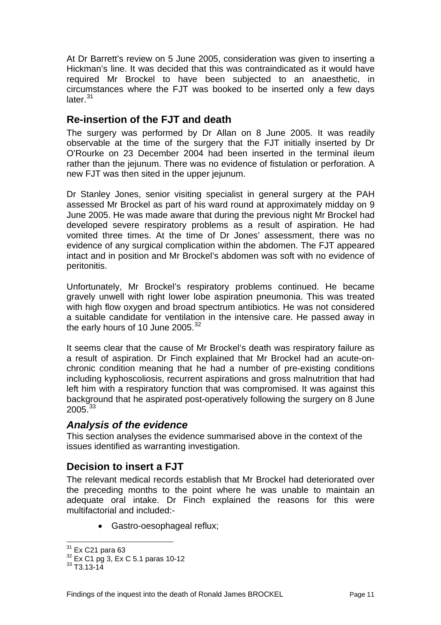<span id="page-12-0"></span>At Dr Barrett's review on 5 June 2005, consideration was given to inserting a Hickman's line. It was decided that this was contraindicated as it would have required Mr Brockel to have been subjected to an anaesthetic, in circumstances where the FJT was booked to be inserted only a few days later $^{31}$  $^{31}$  $^{31}$ 

## **Re-insertion of the FJT and death**

The surgery was performed by Dr Allan on 8 June 2005. It was readily observable at the time of the surgery that the FJT initially inserted by Dr O'Rourke on 23 December 2004 had been inserted in the terminal ileum rather than the jejunum. There was no evidence of fistulation or perforation. A new FJT was then sited in the upper jejunum.

Dr Stanley Jones, senior visiting specialist in general surgery at the PAH assessed Mr Brockel as part of his ward round at approximately midday on 9 June 2005. He was made aware that during the previous night Mr Brockel had developed severe respiratory problems as a result of aspiration. He had vomited three times. At the time of Dr Jones' assessment, there was no evidence of any surgical complication within the abdomen. The FJT appeared intact and in position and Mr Brockel's abdomen was soft with no evidence of peritonitis.

Unfortunately, Mr Brockel's respiratory problems continued. He became gravely unwell with right lower lobe aspiration pneumonia. This was treated with high flow oxygen and broad spectrum antibiotics. He was not considered a suitable candidate for ventilation in the intensive care. He passed away in the early hours of 10 June 2005. $32$ 

It seems clear that the cause of Mr Brockel's death was respiratory failure as a result of aspiration. Dr Finch explained that Mr Brockel had an acute-onchronic condition meaning that he had a number of pre-existing conditions including kyphoscoliosis, recurrent aspirations and gross malnutrition that had left him with a respiratory function that was compromised. It was against this background that he aspirated post-operatively following the surgery on 8 June  $2005.<sup>33</sup>$  $2005.<sup>33</sup>$  $2005.<sup>33</sup>$ 

## *Analysis of the evidence*

This section analyses the evidence summarised above in the context of the issues identified as warranting investigation.

## **Decision to insert a FJT**

The relevant medical records establish that Mr Brockel had deteriorated over the preceding months to the point where he was unable to maintain an adequate oral intake. Dr Finch explained the reasons for this were multifactorial and included:-

• Gastro-oesophageal reflux;

<span id="page-12-2"></span><span id="page-12-1"></span><sup>&</sup>lt;sup>31</sup> Ex C21 para 63<br><sup>32</sup> Ex C1 pg 3, Ex C 5.1 paras 10-12<br><sup>33</sup> T3.13-14

<span id="page-12-3"></span>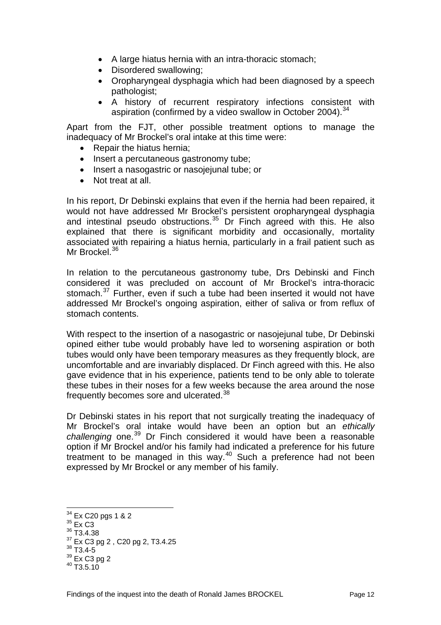- A large hiatus hernia with an intra-thoracic stomach;
- Disordered swallowing;
- Oropharyngeal dysphagia which had been diagnosed by a speech pathologist;
- A history of recurrent respiratory infections consistent with aspiration (confirmed by a video swallow in October 2004).<sup>[34](#page-13-0)</sup>

Apart from the FJT, other possible treatment options to manage the inadequacy of Mr Brockel's oral intake at this time were:

- Repair the hiatus hernia;
- Insert a percutaneous gastronomy tube;
- Insert a nasogastric or nasojejunal tube; or
- Not treat at all.

In his report, Dr Debinski explains that even if the hernia had been repaired, it would not have addressed Mr Brockel's persistent oropharyngeal dysphagia and intestinal pseudo obstructions.<sup>[35](#page-13-1)</sup> Dr Finch agreed with this. He also explained that there is significant morbidity and occasionally, mortality associated with repairing a hiatus hernia, particularly in a frail patient such as Mr Brockel.<sup>[36](#page-13-2)</sup>

In relation to the percutaneous gastronomy tube, Drs Debinski and Finch considered it was precluded on account of Mr Brockel's intra-thoracic stomach.<sup>[37](#page-13-3)</sup> Further, even if such a tube had been inserted it would not have addressed Mr Brockel's ongoing aspiration, either of saliva or from reflux of stomach contents.

With respect to the insertion of a nasogastric or nasojejunal tube, Dr Debinski opined either tube would probably have led to worsening aspiration or both tubes would only have been temporary measures as they frequently block, are uncomfortable and are invariably displaced. Dr Finch agreed with this. He also gave evidence that in his experience, patients tend to be only able to tolerate these tubes in their noses for a few weeks because the area around the nose frequently becomes sore and ulcerated.<sup>[38](#page-13-4)</sup>

Dr Debinski states in his report that not surgically treating the inadequacy of Mr Brockel's oral intake would have been an option but an *ethically challenging* one.[39](#page-13-5) Dr Finch considered it would have been a reasonable option if Mr Brockel and/or his family had indicated a preference for his future treatment to be managed in this way.<sup>[40](#page-13-6)</sup> Such a preference had not been expressed by Mr Brockel or any member of his family.

<span id="page-13-1"></span><span id="page-13-0"></span> $35$  Ex C3<br> $36$  T3.4.38

<sup>&</sup>lt;sup>34</sup> Ex C20 pgs 1 & 2<br><sup>35</sup> Ex C3

<span id="page-13-3"></span><span id="page-13-2"></span> $\frac{37}{38}$  Ex C3 pg 2, C20 pg 2, T3.4.25<br> $\frac{38}{33}$  T3.4-5

<span id="page-13-5"></span><span id="page-13-4"></span> $\frac{39}{40}$  Ex C3 pg 2<br> $\frac{40}{13.5.10}$ 

<span id="page-13-6"></span>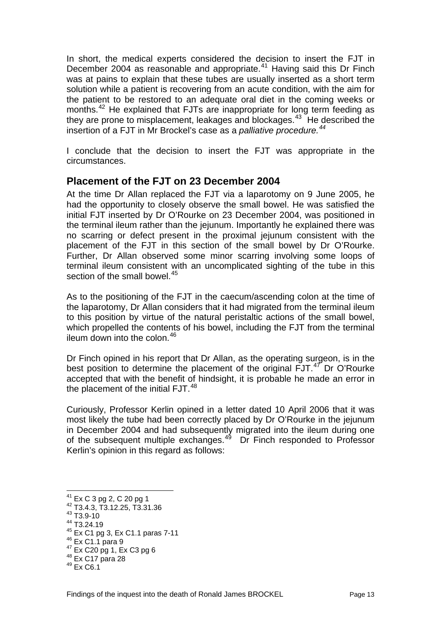<span id="page-14-0"></span>In short, the medical experts considered the decision to insert the FJT in December 2004 as reasonable and appropriate.<sup>[41](#page-14-1)</sup> Having said this Dr Finch was at pains to explain that these tubes are usually inserted as a short term solution while a patient is recovering from an acute condition, with the aim for the patient to be restored to an adequate oral diet in the coming weeks or months.<sup>[42](#page-14-2)</sup> He explained that FJTs are inappropriate for long term feeding as they are prone to misplacement, leakages and blockages.<sup>[43](#page-14-3)</sup> He described the insertion of a FJT in Mr Brockel's case as a *palliative procedure.[44](#page-14-4)*

I conclude that the decision to insert the FJT was appropriate in the circumstances.

### **Placement of the FJT on 23 December 2004**

At the time Dr Allan replaced the FJT via a laparotomy on 9 June 2005, he had the opportunity to closely observe the small bowel. He was satisfied the initial FJT inserted by Dr O'Rourke on 23 December 2004, was positioned in the terminal ileum rather than the jejunum. Importantly he explained there was no scarring or defect present in the proximal jejunum consistent with the placement of the FJT in this section of the small bowel by Dr O'Rourke. Further, Dr Allan observed some minor scarring involving some loops of terminal ileum consistent with an uncomplicated sighting of the tube in this section of the small bowel.<sup>[45](#page-14-5)</sup>

As to the positioning of the FJT in the caecum/ascending colon at the time of the laparotomy, Dr Allan considers that it had migrated from the terminal ileum to this position by virtue of the natural peristaltic actions of the small bowel, which propelled the contents of his bowel, including the FJT from the terminal ileum down into the colon.  $46$ 

Dr Finch opined in his report that Dr Allan, as the operating surgeon, is in the best position to determine the placement of the original  $FJT$ .<sup>[47](#page-14-7)</sup> Dr O'Rourke accepted that with the benefit of hindsight, it is probable he made an error in the placement of the initial FJT.<sup>[48](#page-14-8)</sup>

Curiously, Professor Kerlin opined in a letter dated 10 April 2006 that it was most likely the tube had been correctly placed by Dr O'Rourke in the jejunum in December 2004 and had subsequently migrated into the ileum during one of the subsequent multiple exchanges. $4^6$  Dr Finch responded to Professor Kerlin's opinion in this regard as follows:

<span id="page-14-1"></span> $^{41}$  Ex C 3 pg 2, C 20 pg 1<br> $^{42}$  T3.4.3, T3.12.25, T3.31.36

<span id="page-14-3"></span><span id="page-14-2"></span><sup>43</sup> T3.9-10

<span id="page-14-4"></span> $^{44}$  T3.24.19<br> $^{45}$  Ex C1 pg 3, Ex C1.1 paras 7-11

<span id="page-14-7"></span><span id="page-14-6"></span><span id="page-14-5"></span> $^{46}$  Ex C1.1 para 9<br>  $^{47}$  Ex C20 pg 1, Ex C3 pg 6<br>  $^{48}$  Ex C17 para 28<br>  $^{49}$  Ex C6.1

<span id="page-14-8"></span>

<span id="page-14-9"></span>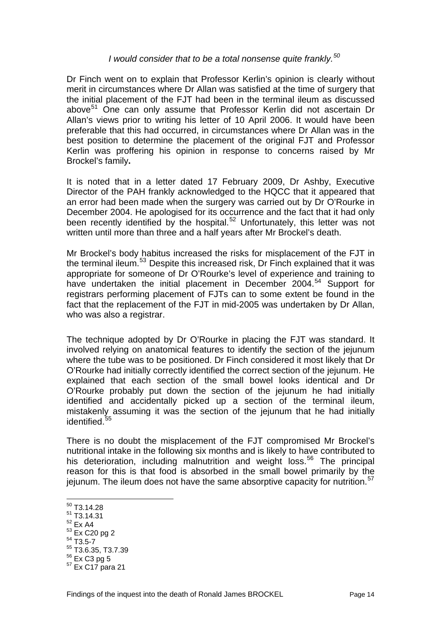#### *I would consider that to be a total nonsense quite frankly.[50](#page-15-0)*

Dr Finch went on to explain that Professor Kerlin's opinion is clearly without merit in circumstances where Dr Allan was satisfied at the time of surgery that the initial placement of the FJT had been in the terminal ileum as discussed above<sup>[51](#page-15-1)</sup> One can only assume that Professor Kerlin did not ascertain Dr Allan's views prior to writing his letter of 10 April 2006. It would have been preferable that this had occurred, in circumstances where Dr Allan was in the best position to determine the placement of the original FJT and Professor Kerlin was proffering his opinion in response to concerns raised by Mr Brockel's family**.**

It is noted that in a letter dated 17 February 2009, Dr Ashby, Executive Director of the PAH frankly acknowledged to the HQCC that it appeared that an error had been made when the surgery was carried out by Dr O'Rourke in December 2004. He apologised for its occurrence and the fact that it had only been recently identified by the hospital.<sup>[52](#page-15-2)</sup> Unfortunately, this letter was not written until more than three and a half years after Mr Brockel's death.

Mr Brockel's body habitus increased the risks for misplacement of the FJT in the terminal ileum.<sup>[53](#page-15-3)</sup> Despite this increased risk, Dr Finch explained that it was appropriate for someone of Dr O'Rourke's level of experience and training to have undertaken the initial placement in December 2004.<sup>[54](#page-15-4)</sup> Support for registrars performing placement of FJTs can to some extent be found in the fact that the replacement of the FJT in mid-2005 was undertaken by Dr Allan, who was also a registrar.

The technique adopted by Dr O'Rourke in placing the FJT was standard. It involved relying on anatomical features to identify the section of the jejunum where the tube was to be positioned. Dr Finch considered it most likely that Dr O'Rourke had initially correctly identified the correct section of the jejunum. He explained that each section of the small bowel looks identical and Dr O'Rourke probably put down the section of the jejunum he had initially identified and accidentally picked up a section of the terminal ileum, mistakenly assuming it was the section of the jejunum that he had initially identified.<sup>[55](#page-15-5)</sup>

There is no doubt the misplacement of the FJT compromised Mr Brockel's nutritional intake in the following six months and is likely to have contributed to his deterioration, including malnutrition and weight loss.<sup>[56](#page-15-6)</sup> The principal reason for this is that food is absorbed in the small bowel primarily by the jejunum. The ileum does not have the same absorptive capacity for nutrition.<sup>[57](#page-15-7)</sup>

- <span id="page-15-1"></span><span id="page-15-0"></span> $51$  T3.14.31
- 52 Ex A4
- <span id="page-15-3"></span><span id="page-15-2"></span> $^{53}_{54}$  Ex C20 pg 2<br> $^{54}$  T3.5-7

 $\overline{a}$  $50$  T<sub>3</sub>.14.28

<span id="page-15-5"></span><span id="page-15-4"></span> $^{55}$  T3.6.35, T3.7.39<br> $^{56}$  Ex C3 pg 5

<span id="page-15-7"></span><span id="page-15-6"></span> $57$  Ex C17 para 21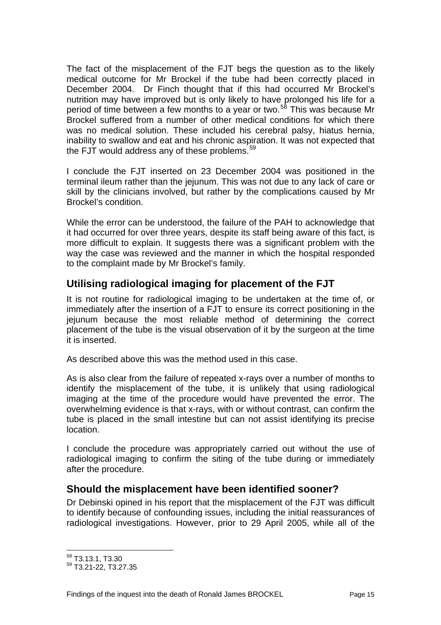<span id="page-16-0"></span>The fact of the misplacement of the FJT begs the question as to the likely medical outcome for Mr Brockel if the tube had been correctly placed in December 2004. Dr Finch thought that if this had occurred Mr Brockel's nutrition may have improved but is only likely to have prolonged his life for a period of time between a few months to a year or two.<sup>[58](#page-16-1)</sup> This was because Mr Brockel suffered from a number of other medical conditions for which there was no medical solution. These included his cerebral palsy, hiatus hernia, inability to swallow and eat and his chronic aspiration. It was not expected that the FJT would address any of these problems.<sup>[59](#page-16-2)</sup>

I conclude the FJT inserted on 23 December 2004 was positioned in the terminal ileum rather than the jejunum. This was not due to any lack of care or skill by the clinicians involved, but rather by the complications caused by Mr Brockel's condition.

While the error can be understood, the failure of the PAH to acknowledge that it had occurred for over three years, despite its staff being aware of this fact, is more difficult to explain. It suggests there was a significant problem with the way the case was reviewed and the manner in which the hospital responded to the complaint made by Mr Brockel's family.

# **Utilising radiological imaging for placement of the FJT**

It is not routine for radiological imaging to be undertaken at the time of, or immediately after the insertion of a FJT to ensure its correct positioning in the jejunum because the most reliable method of determining the correct placement of the tube is the visual observation of it by the surgeon at the time it is inserted.

As described above this was the method used in this case.

As is also clear from the failure of repeated x-rays over a number of months to identify the misplacement of the tube, it is unlikely that using radiological imaging at the time of the procedure would have prevented the error. The overwhelming evidence is that x-rays, with or without contrast, can confirm the tube is placed in the small intestine but can not assist identifying its precise location.

I conclude the procedure was appropriately carried out without the use of radiological imaging to confirm the siting of the tube during or immediately after the procedure.

## **Should the misplacement have been identified sooner?**

Dr Debinski opined in his report that the misplacement of the FJT was difficult to identify because of confounding issues, including the initial reassurances of radiological investigations. However, prior to 29 April 2005, while all of the

l 58 T3.13.1, T3.30

<span id="page-16-2"></span><span id="page-16-1"></span><sup>59</sup> T3.21-22, T3.27.35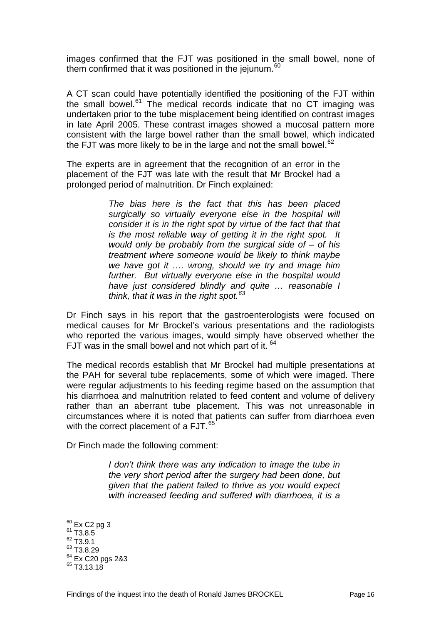images confirmed that the FJT was positioned in the small bowel, none of them confirmed that it was positioned in the jejunum.<sup>[60](#page-17-0)</sup>

A CT scan could have potentially identified the positioning of the FJT within the small bowel.<sup>[61](#page-17-1)</sup> The medical records indicate that no CT imaging was undertaken prior to the tube misplacement being identified on contrast images in late April 2005. These contrast images showed a mucosal pattern more consistent with the large bowel rather than the small bowel, which indicated the FJT was more likely to be in the large and not the small bowel.<sup>[62](#page-17-2)</sup>

The experts are in agreement that the recognition of an error in the placement of the FJT was late with the result that Mr Brockel had a prolonged period of malnutrition. Dr Finch explained:

> *The bias here is the fact that this has been placed surgically so virtually everyone else in the hospital will consider it is in the right spot by virtue of the fact that that is the most reliable way of getting it in the right spot. It would only be probably from the surgical side of – of his treatment where someone would be likely to think maybe we have got it …. wrong, should we try and image him further. But virtually everyone else in the hospital would have just considered blindly and quite … reasonable I think, that it was in the right spot.[63](#page-17-3)*

Dr Finch says in his report that the gastroenterologists were focused on medical causes for Mr Brockel's various presentations and the radiologists who reported the various images, would simply have observed whether the FJT was in the small bowel and not which part of it.  $64$ 

The medical records establish that Mr Brockel had multiple presentations at the PAH for several tube replacements, some of which were imaged. There were regular adjustments to his feeding regime based on the assumption that his diarrhoea and malnutrition related to feed content and volume of delivery rather than an aberrant tube placement. This was not unreasonable in circumstances where it is noted that patients can suffer from diarrhoea even with the correct placement of a FJT.<sup>[65](#page-17-5)</sup>

Dr Finch made the following comment:

*I don't think there was any indication to image the tube in the very short period after the surgery had been done, but given that the patient failed to thrive as you would expect with increased feeding and suffered with diarrhoea, it is a* 

<sup>&</sup>lt;sup>60</sup> Ex C2 pg 3<br><sup>61</sup> T3.8.5

<span id="page-17-1"></span><span id="page-17-0"></span> $^{61}_{62}$  T3.8.5<br> $^{62}$  T3.9.1

<span id="page-17-2"></span>

<span id="page-17-3"></span><sup>63</sup> T3.8.29

<span id="page-17-4"></span> $^{64}$  Ex C20 pgs 2&3<br> $^{65}$  T3.13.18

<span id="page-17-5"></span>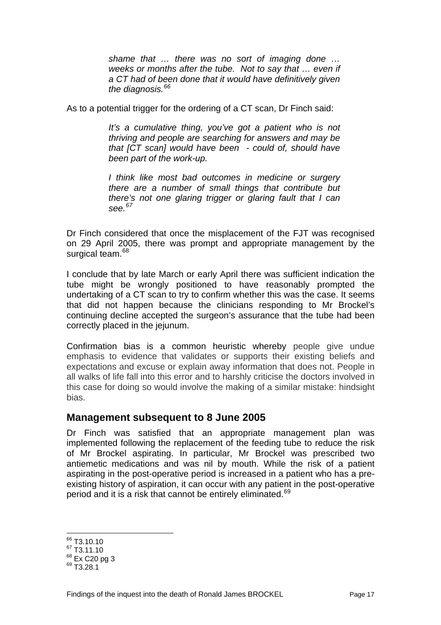<span id="page-18-0"></span>*shame that … there was no sort of imaging done … weeks or months after the tube. Not to say that … even if a CT had of been done that it would have definitively given the diagnosis.[66](#page-18-1)*

As to a potential trigger for the ordering of a CT scan, Dr Finch said:

*It's a cumulative thing, you've got a patient who is not thriving and people are searching for answers and may be that [CT scan] would have been - could of, should have been part of the work-up.*

*I think like most bad outcomes in medicine or surgery there are a number of small things that contribute but there's not one glaring trigger or glaring fault that I can see.[67](#page-18-2)*

Dr Finch considered that once the misplacement of the FJT was recognised on 29 April 2005, there was prompt and appropriate management by the surgical team.<sup>[68](#page-18-3)</sup>

I conclude that by late March or early April there was sufficient indication the tube might be wrongly positioned to have reasonably prompted the undertaking of a CT scan to try to confirm whether this was the case. It seems that did not happen because the clinicians responding to Mr Brockel's continuing decline accepted the surgeon's assurance that the tube had been correctly placed in the jejunum.

Confirmation bias is a common heuristic whereby people give undue emphasis to evidence that validates or supports their existing beliefs and expectations and excuse or explain away information that does not. People in all walks of life fall into this error and to harshly criticise the doctors involved in this case for doing so would involve the making of a similar mistake: hindsight bias.

#### **Management subsequent to 8 June 2005**

Dr Finch was satisfied that an appropriate management plan was implemented following the replacement of the feeding tube to reduce the risk of Mr Brockel aspirating. In particular, Mr Brockel was prescribed two antiemetic medications and was nil by mouth. While the risk of a patient aspirating in the post-operative period is increased in a patient who has a preexisting history of aspiration, it can occur with any patient in the post-operative period and it is a risk that cannot be entirely eliminated.<sup>[69](#page-18-4)</sup>

l

Findings of the inquest into the death of Ronald James BROCKEL Page 17

<span id="page-18-1"></span><sup>&</sup>lt;sup>66</sup> T3.10.10

<span id="page-18-2"></span> $67$  T3.11.10

<span id="page-18-3"></span> $^{68}_{69}$  Ex C20 pg 3<br> $^{69}$  T3.28.1

<span id="page-18-4"></span>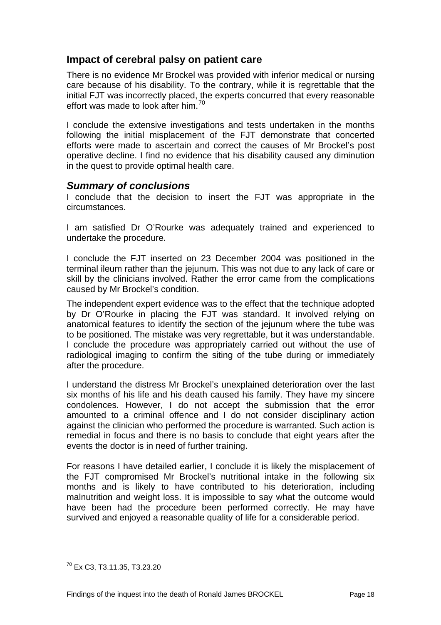## <span id="page-19-0"></span>**Impact of cerebral palsy on patient care**

There is no evidence Mr Brockel was provided with inferior medical or nursing care because of his disability. To the contrary, while it is regrettable that the initial FJT was incorrectly placed, the experts concurred that every reasonable effort was made to look after him.<sup>[70](#page-19-1)</sup>

I conclude the extensive investigations and tests undertaken in the months following the initial misplacement of the FJT demonstrate that concerted efforts were made to ascertain and correct the causes of Mr Brockel's post operative decline. I find no evidence that his disability caused any diminution in the quest to provide optimal health care.

#### *Summary of conclusions*

I conclude that the decision to insert the FJT was appropriate in the circumstances.

I am satisfied Dr O'Rourke was adequately trained and experienced to undertake the procedure.

I conclude the FJT inserted on 23 December 2004 was positioned in the terminal ileum rather than the jejunum. This was not due to any lack of care or skill by the clinicians involved. Rather the error came from the complications caused by Mr Brockel's condition.

The independent expert evidence was to the effect that the technique adopted by Dr O'Rourke in placing the FJT was standard. It involved relying on anatomical features to identify the section of the jejunum where the tube was to be positioned. The mistake was very regrettable, but it was understandable. I conclude the procedure was appropriately carried out without the use of radiological imaging to confirm the siting of the tube during or immediately after the procedure.

I understand the distress Mr Brockel's unexplained deterioration over the last six months of his life and his death caused his family. They have my sincere condolences. However, I do not accept the submission that the error amounted to a criminal offence and I do not consider disciplinary action against the clinician who performed the procedure is warranted. Such action is remedial in focus and there is no basis to conclude that eight years after the events the doctor is in need of further training.

For reasons I have detailed earlier, I conclude it is likely the misplacement of the FJT compromised Mr Brockel's nutritional intake in the following six months and is likely to have contributed to his deterioration, including malnutrition and weight loss. It is impossible to say what the outcome would have been had the procedure been performed correctly. He may have survived and enjoyed a reasonable quality of life for a considerable period.

<span id="page-19-1"></span>l  $^{70}$  Ex C3, T3.11.35, T3.23.20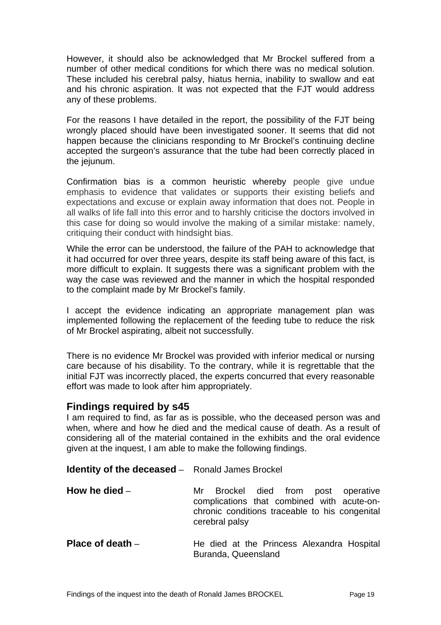<span id="page-20-0"></span>However, it should also be acknowledged that Mr Brockel suffered from a number of other medical conditions for which there was no medical solution. These included his cerebral palsy, hiatus hernia, inability to swallow and eat and his chronic aspiration. It was not expected that the FJT would address any of these problems.

For the reasons I have detailed in the report, the possibility of the FJT being wrongly placed should have been investigated sooner. It seems that did not happen because the clinicians responding to Mr Brockel's continuing decline accepted the surgeon's assurance that the tube had been correctly placed in the jejunum.

Confirmation bias is a common heuristic whereby people give undue emphasis to evidence that validates or supports their existing beliefs and expectations and excuse or explain away information that does not. People in all walks of life fall into this error and to harshly criticise the doctors involved in this case for doing so would involve the making of a similar mistake: namely, critiquing their conduct with hindsight bias.

While the error can be understood, the failure of the PAH to acknowledge that it had occurred for over three years, despite its staff being aware of this fact, is more difficult to explain. It suggests there was a significant problem with the way the case was reviewed and the manner in which the hospital responded to the complaint made by Mr Brockel's family.

I accept the evidence indicating an appropriate management plan was implemented following the replacement of the feeding tube to reduce the risk of Mr Brockel aspirating, albeit not successfully.

There is no evidence Mr Brockel was provided with inferior medical or nursing care because of his disability. To the contrary, while it is regrettable that the initial FJT was incorrectly placed, the experts concurred that every reasonable effort was made to look after him appropriately.

#### **Findings required by s45**

I am required to find, as far as is possible, who the deceased person was and when, where and how he died and the medical cause of death. As a result of considering all of the material contained in the exhibits and the oral evidence given at the inquest, I am able to make the following findings.

| <b>Identity of the deceased -</b> Ronald James Brockel |                                                                                                                                                          |
|--------------------------------------------------------|----------------------------------------------------------------------------------------------------------------------------------------------------------|
| How he died $-$                                        | Brockel died from post operative<br>Mr<br>complications that combined with acute-on-<br>chronic conditions traceable to his congenital<br>cerebral palsy |
| Place of death $-$                                     | He died at the Princess Alexandra Hospital<br>Buranda, Queensland                                                                                        |